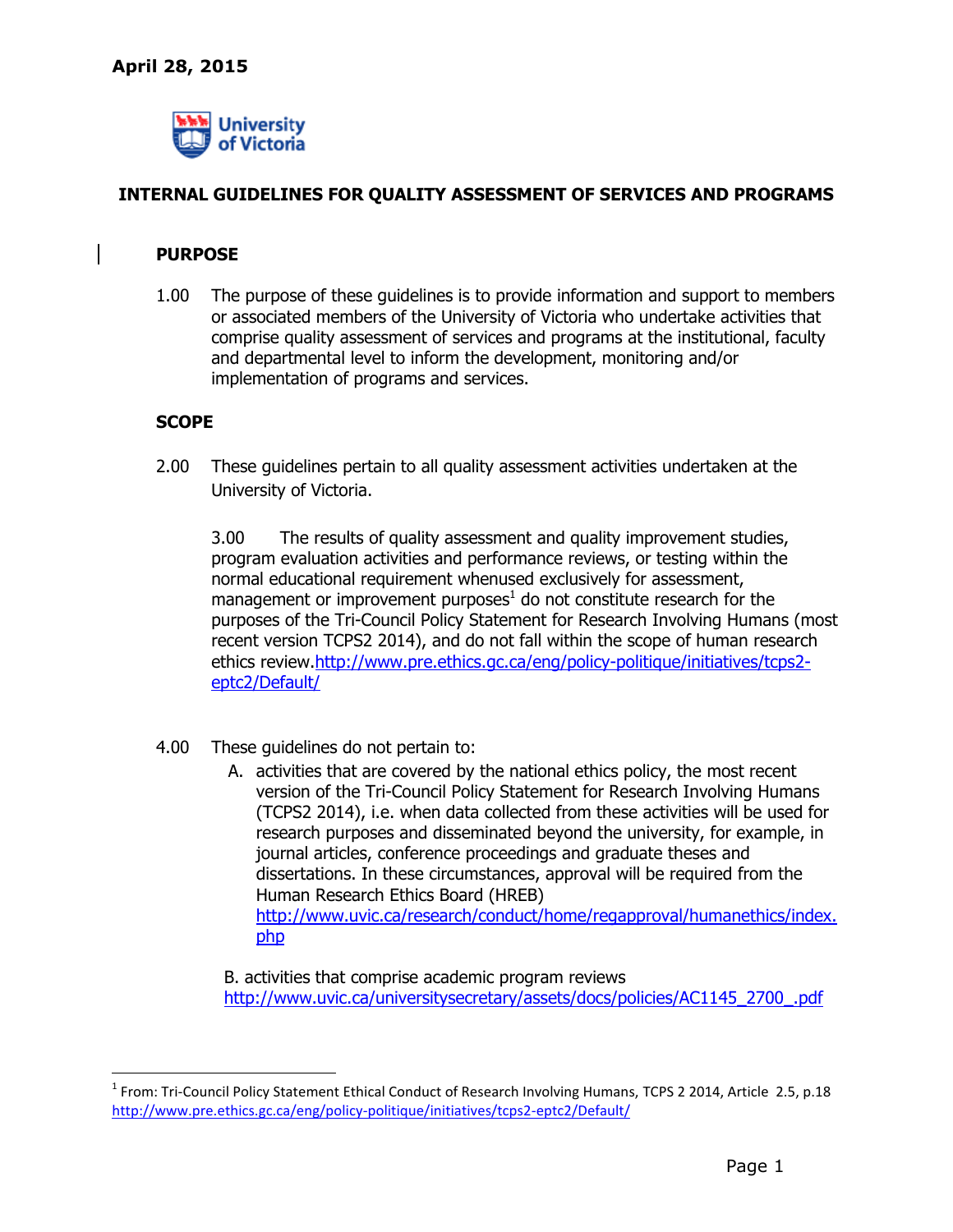

# **INTERNAL GUIDELINES FOR QUALITY ASSESSMENT OF SERVICES AND PROGRAMS**

## **PURPOSE**

1.00 The purpose of these guidelines is to provide information and support to members or associated members of the University of Victoria who undertake activities that comprise quality assessment of services and programs at the institutional, faculty and departmental level to inform the development, monitoring and/or implementation of programs and services.

#### **SCOPE**

-

2.00 These guidelines pertain to all quality assessment activities undertaken at the University of Victoria.

3.00 The results of quality assessment and quality improvement studies, program evaluation activities and performance reviews, or testing within the normal educational requirement whenused exclusively for assessment, management or improvement purposes $^1$  do not constitute research for the purposes of the Tri-Council Policy Statement for Research Involving Humans (most recent version TCPS2 2014), and do not fall within the scope of human research ethics review[.http://www.pre.ethics.gc.ca/eng/policy-politique/initiatives/tcps2](http://www.pre.ethics.gc.ca/eng/policy-politique/initiatives/tcps2-eptc2/Default/) [eptc2/Default/](http://www.pre.ethics.gc.ca/eng/policy-politique/initiatives/tcps2-eptc2/Default/)

- 4.00 These guidelines do not pertain to:
	- A. activities that are covered by the national ethics policy, the most recent version of the Tri-Council Policy Statement for Research Involving Humans (TCPS2 2014), i.e. when data collected from these activities will be used for research purposes and disseminated beyond the university, for example, in journal articles, conference proceedings and graduate theses and dissertations. In these circumstances, approval will be required from the Human Research Ethics Board (HREB) [http://www.uvic.ca/research/conduct/home/regapproval/humanethics/index.](http://www.uvic.ca/research/conduct/home/regapproval/humanethics/index.php) [php](http://www.uvic.ca/research/conduct/home/regapproval/humanethics/index.php)

B. activities that comprise academic program reviews [http://www.uvic.ca/universitysecretary/assets/docs/policies/AC1145\\_2700\\_.pdf](http://www.uvic.ca/universitysecretary/assets/docs/policies/AC1145_2700_.pdf)

<sup>&</sup>lt;sup>1</sup> From: Tri-Council Policy Statement Ethical Conduct of Research Involving Humans, TCPS 2 2014, Article 2.5, p.18 http://www.pre.ethics.gc.ca/eng/policy-politique/initiatives/tcps2-eptc2/Default/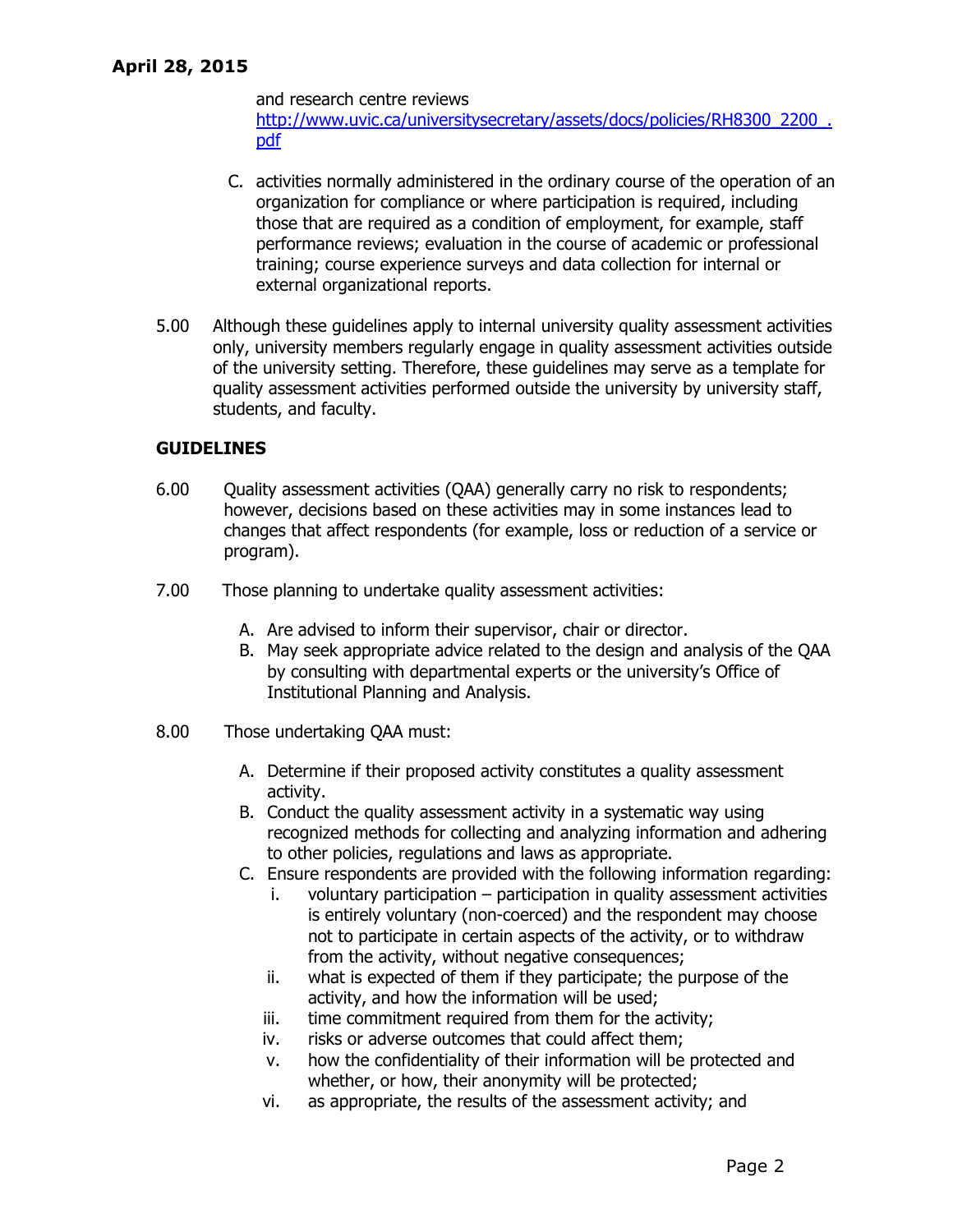and research centre reviews [http://www.uvic.ca/universitysecretary/assets/docs/policies/RH8300\\_2200\\_.](http://www.uvic.ca/universitysecretary/assets/docs/policies/RH8300_2200_.pdf) [pdf](http://www.uvic.ca/universitysecretary/assets/docs/policies/RH8300_2200_.pdf)

- C. activities normally administered in the ordinary course of the operation of an organization for compliance or where participation is required, including those that are required as a condition of employment, for example, staff performance reviews; evaluation in the course of academic or professional training; course experience surveys and data collection for internal or external organizational reports.
- 5.00 Although these guidelines apply to internal university quality assessment activities only, university members regularly engage in quality assessment activities outside of the university setting. Therefore, these guidelines may serve as a template for quality assessment activities performed outside the university by university staff, students, and faculty.

### **GUIDELINES**

- 6.00 Quality assessment activities (QAA) generally carry no risk to respondents; however, decisions based on these activities may in some instances lead to changes that affect respondents (for example, loss or reduction of a service or program).
- 7.00 Those planning to undertake quality assessment activities:
	- A. Are advised to inform their supervisor, chair or director.
	- B. May seek appropriate advice related to the design and analysis of the QAA by consulting with departmental experts or the university's Office of Institutional Planning and Analysis.
- 8.00 Those undertaking QAA must:
	- A. Determine if their proposed activity constitutes a quality assessment activity.
	- B. Conduct the quality assessment activity in a systematic way using recognized methods for collecting and analyzing information and adhering to other policies, regulations and laws as appropriate.
	- C. Ensure respondents are provided with the following information regarding:
		- i. voluntary participation participation in quality assessment activities is entirely voluntary (non-coerced) and the respondent may choose not to participate in certain aspects of the activity, or to withdraw from the activity, without negative consequences;
		- ii. what is expected of them if they participate; the purpose of the activity, and how the information will be used;
		- iii. time commitment required from them for the activity;
		- iv. risks or adverse outcomes that could affect them;
		- v. how the confidentiality of their information will be protected and whether, or how, their anonymity will be protected;
		- vi. as appropriate, the results of the assessment activity; and